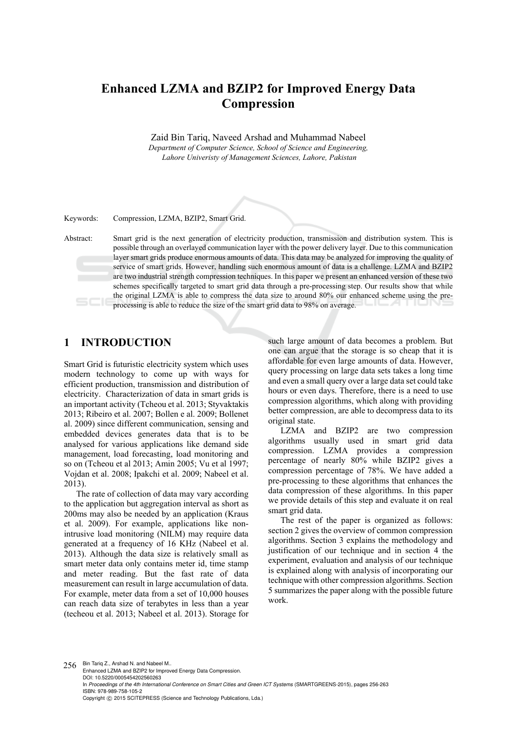# **Enhanced LZMA and BZIP2 for Improved Energy Data Compression**

Zaid Bin Tariq, Naveed Arshad and Muhammad Nabeel *Department of Computer Science, School of Science and Engineering, Lahore Univeristy of Management Sciences, Lahore, Pakistan* 

Keywords: Compression, LZMA, BZIP2, Smart Grid.

Abstract: Smart grid is the next generation of electricity production, transmission and distribution system. This is possible through an overlayed communication layer with the power delivery layer. Due to this communication layer smart grids produce enormous amounts of data. This data may be analyzed for improving the quality of service of smart grids. However, handling such enormous amount of data is a challenge. LZMA and BZIP2 are two industrial strength compression techniques. In this paper we present an enhanced version of these two schemes specifically targeted to smart grid data through a pre-processing step. Our results show that while the original LZMA is able to compress the data size to around 80% our enhanced scheme using the preprocessing is able to reduce the size of the smart grid data to 98% on average.

# **1 INTRODUCTION**

Smart Grid is futuristic electricity system which uses modern technology to come up with ways for efficient production, transmission and distribution of electricity. Characterization of data in smart grids is an important activity (Tcheou et al. 2013; Styvaktakis 2013; Ribeiro et al. 2007; Bollen e al. 2009; Bollenet al. 2009) since different communication, sensing and embedded devices generates data that is to be analysed for various applications like demand side management, load forecasting, load monitoring and so on (Tcheou et al 2013; Amin 2005; Vu et al 1997; Vojdan et al. 2008; Ipakchi et al. 2009; Nabeel et al. 2013).

The rate of collection of data may vary according to the application but aggregation interval as short as 200ms may also be needed by an application (Kraus et al. 2009). For example, applications like nonintrusive load monitoring (NILM) may require data generated at a frequency of 16 KHz (Nabeel et al. 2013). Although the data size is relatively small as smart meter data only contains meter id, time stamp and meter reading. But the fast rate of data measurement can result in large accumulation of data. For example, meter data from a set of 10,000 houses can reach data size of terabytes in less than a year (techeou et al. 2013; Nabeel et al. 2013). Storage for

such large amount of data becomes a problem. But one can argue that the storage is so cheap that it is affordable for even large amounts of data. However, query processing on large data sets takes a long time and even a small query over a large data set could take hours or even days. Therefore, there is a need to use compression algorithms, which along with providing better compression, are able to decompress data to its original state.

LZMA and BZIP2 are two compression algorithms usually used in smart grid data compression. LZMA provides a compression percentage of nearly 80% while BZIP2 gives a compression percentage of 78%. We have added a pre-processing to these algorithms that enhances the data compression of these algorithms. In this paper we provide details of this step and evaluate it on real smart grid data.

The rest of the paper is organized as follows: section 2 gives the overview of common compression algorithms. Section 3 explains the methodology and justification of our technique and in section 4 the experiment, evaluation and analysis of our technique is explained along with analysis of incorporating our technique with other compression algorithms. Section 5 summarizes the paper along with the possible future work.

256 Bin Tariq Z., Arshad N. and Nabeel M.. Enhanced LZMA and BZIP2 for Improved Energy Data Compression. DOI: 10.5220/0005454202560263 In Proceedings of the 4th International Conference on Smart Cities and Green ICT Systems (SMARTGREENS-2015), pages 256-263 ISBN: 978-989-758-105-2 Copyright © 2015 SCITEPRESS (Science and Technology Publications, Lda.)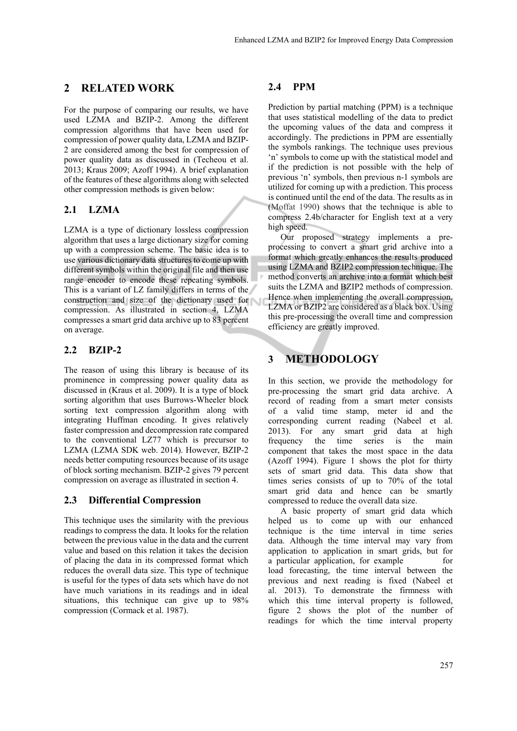# **2 RELATED WORK**

For the purpose of comparing our results, we have used LZMA and BZIP-2. Among the different compression algorithms that have been used for compression of power quality data, LZMA and BZIP-2 are considered among the best for compression of power quality data as discussed in (Techeou et al. 2013; Kraus 2009; Azoff 1994). A brief explanation of the features of these algorithms along with selected other compression methods is given below:

## **2.1 LZMA**

LZMA is a type of dictionary lossless compression algorithm that uses a large dictionary size for coming up with a compression scheme. The basic idea is to use various dictionary data structures to come up with different symbols within the original file and then use range encoder to encode these repeating symbols. This is a variant of LZ family differs in terms of the construction and size of the dictionary used for compression. As illustrated in section 4, LZMA compresses a smart grid data archive up to 83 percent on average.

### **2.2 BZIP-2**

The reason of using this library is because of its prominence in compressing power quality data as discussed in (Kraus et al. 2009). It is a type of block sorting algorithm that uses Burrows-Wheeler block sorting text compression algorithm along with integrating Huffman encoding. It gives relatively faster compression and decompression rate compared to the conventional LZ77 which is precursor to LZMA (LZMA SDK web. 2014). However, BZIP-2 needs better computing resources because of its usage of block sorting mechanism. BZIP-2 gives 79 percent compression on average as illustrated in section 4.

### **2.3 Differential Compression**

This technique uses the similarity with the previous readings to compress the data. It looks for the relation between the previous value in the data and the current value and based on this relation it takes the decision of placing the data in its compressed format which reduces the overall data size. This type of technique is useful for the types of data sets which have do not have much variations in its readings and in ideal situations, this technique can give up to 98% compression (Cormack et al. 1987).

# **2.4 PPM**

Prediction by partial matching (PPM) is a technique that uses statistical modelling of the data to predict the upcoming values of the data and compress it accordingly. The predictions in PPM are essentially the symbols rankings. The technique uses previous 'n' symbols to come up with the statistical model and if the prediction is not possible with the help of previous 'n' symbols, then previous n-1 symbols are utilized for coming up with a prediction. This process is continued until the end of the data. The results as in (Moffat 1990) shows that the technique is able to compress 2.4b/character for English text at a very high speed.

Our proposed strategy implements a preprocessing to convert a smart grid archive into a format which greatly enhances the results produced using LZMA and BZIP2 compression technique. The method converts an archive into a format which best suits the LZMA and BZIP2 methods of compression. Hence when implementing the overall compression, LZMA or BZIP2 are considered as a black box. Using this pre-processing the overall time and compression efficiency are greatly improved.

# **3 METHODOLOGY**

In this section, we provide the methodology for pre-processing the smart grid data archive. A record of reading from a smart meter consists of a valid time stamp, meter id and the corresponding current reading (Nabeel et al. 2013). For any smart grid data at high frequency the time series is the main component that takes the most space in the data (Azoff 1994). Figure 1 shows the plot for thirty sets of smart grid data. This data show that times series consists of up to 70% of the total smart grid data and hence can be smartly compressed to reduce the overall data size.

A basic property of smart grid data which helped us to come up with our enhanced technique is the time interval in time series data. Although the time interval may vary from application to application in smart grids, but for a particular application, for example for load forecasting, the time interval between the previous and next reading is fixed (Nabeel et al. 2013). To demonstrate the firmness with which this time interval property is followed, figure 2 shows the plot of the number of readings for which the time interval property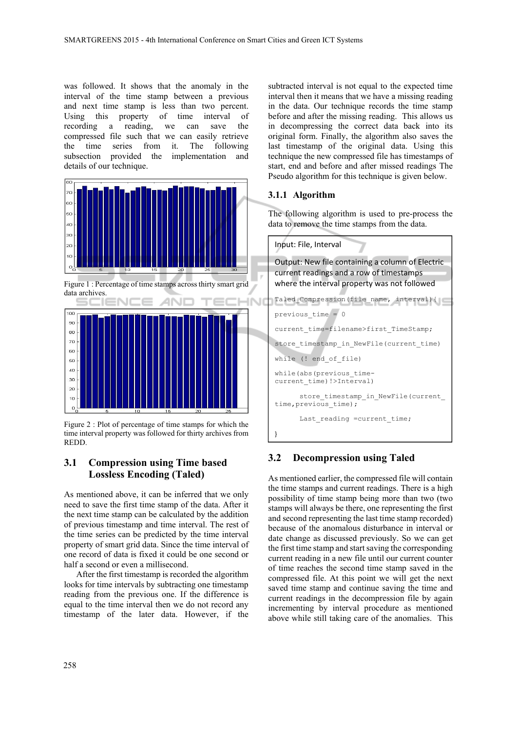was followed. It shows that the anomaly in the interval of the time stamp between a previous and next time stamp is less than two percent. Using this property of time interval of recording a reading, we can save the compressed file such that we can easily retrieve the time series from it. The following subsection provided the implementation and details of our technique.



Figure 1 : Percentage of time stamps across thirty smart grid data archives.



Figure 2 : Plot of percentage of time stamps for which the time interval property was followed for thirty archives from REDD.

### **3.1 Compression using Time based Lossless Encoding (Taled)**

As mentioned above, it can be inferred that we only need to save the first time stamp of the data. After it the next time stamp can be calculated by the addition of previous timestamp and time interval. The rest of the time series can be predicted by the time interval property of smart grid data. Since the time interval of one record of data is fixed it could be one second or half a second or even a millisecond.

After the first timestamp is recorded the algorithm looks for time intervals by subtracting one timestamp reading from the previous one. If the difference is equal to the time interval then we do not record any timestamp of the later data. However, if the

subtracted interval is not equal to the expected time interval then it means that we have a missing reading in the data. Our technique records the time stamp before and after the missing reading. This allows us in decompressing the correct data back into its original form. Finally, the algorithm also saves the last timestamp of the original data. Using this technique the new compressed file has timestamps of start, end and before and after missed readings The Pseudo algorithm for this technique is given below.

#### **3.1.1 Algorithm**

The following algorithm is used to pre-process the data to remove the time stamps from the data.



#### **3.2 Decompression using Taled**

As mentioned earlier, the compressed file will contain the time stamps and current readings. There is a high possibility of time stamp being more than two (two stamps will always be there, one representing the first and second representing the last time stamp recorded) because of the anomalous disturbance in interval or date change as discussed previously. So we can get the first time stamp and start saving the corresponding current reading in a new file until our current counter of time reaches the second time stamp saved in the compressed file. At this point we will get the next saved time stamp and continue saving the time and current readings in the decompression file by again incrementing by interval procedure as mentioned above while still taking care of the anomalies. This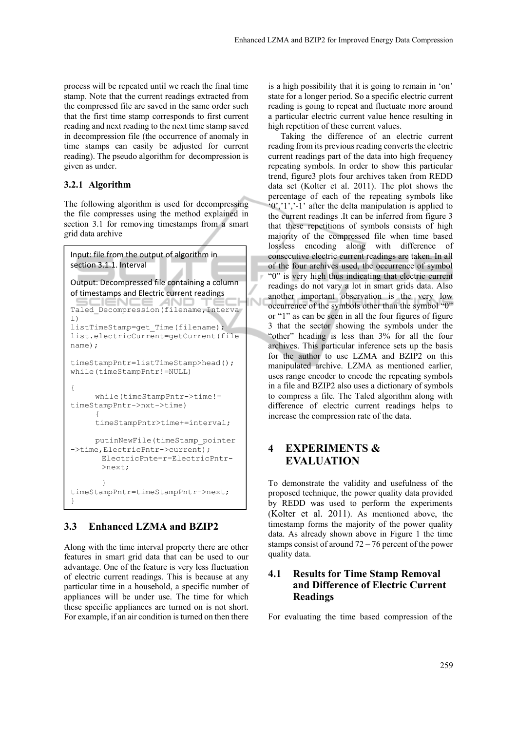process will be repeated until we reach the final time stamp. Note that the current readings extracted from the compressed file are saved in the same order such that the first time stamp corresponds to first current reading and next reading to the next time stamp saved in decompression file (the occurrence of anomaly in time stamps can easily be adjusted for current reading). The pseudo algorithm for decompression is given as under.

#### **3.2.1 Algorithm**

The following algorithm is used for decompressing the file compresses using the method explained in section 3.1 for removing timestamps from a smart grid data archive

```
Input: file from the output of algorithm in
section 3.1.1. Interval
Output: Decompressed file containing a column
of timestamps and Electric current readings
Taled Decompression(filename, Interva
l) 
listTimeStamp=get_Time(filename); 
list.electricCurrent=getCurrent(file
name); 
timeStampPntr=listTimeStamp>head(); 
while(timeStampPntr!=NULL) 
{ 
      while(timeStampPntr->time!= 
timeStampPntr->nxt->time) 
\left\{\begin{array}{ccc} \end{array}\right\} timeStampPntr>time+=interval; 
       putinNewFile(timeStamp_pointer
->time, ElectricPntr->current);
       ElectricPnte=r=ElectricPntr- 
        >next; 
        } 
timeStampPntr=timeStampPntr->next; 
}
```
### **3.3 Enhanced LZMA and BZIP2**

Along with the time interval property there are other features in smart grid data that can be used to our advantage. One of the feature is very less fluctuation of electric current readings. This is because at any particular time in a household, a specific number of appliances will be under use. The time for which these specific appliances are turned on is not short. For example, if an air condition is turned on then there

is a high possibility that it is going to remain in 'on' state for a longer period. So a specific electric current reading is going to repeat and fluctuate more around a particular electric current value hence resulting in high repetition of these current values.

Taking the difference of an electric current reading from its previous reading converts the electric current readings part of the data into high frequency repeating symbols. In order to show this particular trend, figure3 plots four archives taken from REDD data set (Kolter et al. 2011). The plot shows the percentage of each of the repeating symbols like '0','1','-1' after the delta manipulation is applied to the current readings .It can be inferred from figure 3 that these repetitions of symbols consists of high majority of the compressed file when time based lossless encoding along with difference of consecutive electric current readings are taken. In all of the four archives used, the occurrence of symbol "0" is very high thus indicating that electric current readings do not vary a lot in smart grids data. Also another important observation is the very low occurrence of the symbols other than the symbol "0" or "1" as can be seen in all the four figures of figure 3 that the sector showing the symbols under the "other" heading is less than 3% for all the four archives. This particular inference sets up the basis for the author to use LZMA and BZIP2 on this manipulated archive. LZMA as mentioned earlier, uses range encoder to encode the repeating symbols in a file and BZIP2 also uses a dictionary of symbols to compress a file. The Taled algorithm along with difference of electric current readings helps to increase the compression rate of the data.

## **4 EXPERIMENTS & EVALUATION**

To demonstrate the validity and usefulness of the proposed technique, the power quality data provided by REDD was used to perform the experiments (Kolter et al. 2011). As mentioned above, the timestamp forms the majority of the power quality data. As already shown above in Figure 1 the time stamps consist of around 72 – 76 percent of the power quality data.

### **4.1 Results for Time Stamp Removal and Difference of Electric Current Readings**

For evaluating the time based compression of the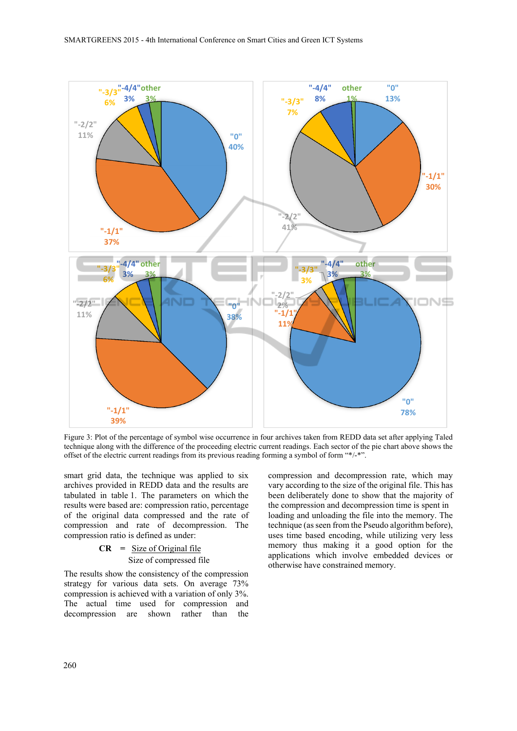

Figure 3: Plot of the percentage of symbol wise occurrence in four archives taken from REDD data set after applying Taled technique along with the difference of the proceeding electric current readings. Each sector of the pie chart above shows the offset of the electric current readings from its previous reading forming a symbol of form "\*/-\*".

smart grid data, the technique was applied to six archives provided in REDD data and the results are tabulated in table 1. The parameters on which the results were based are: compression ratio, percentage of the original data compressed and the rate of compression and rate of decompression. The compression ratio is defined as under:

#### **CR =** Size of Original file Size of compressed file

The results show the consistency of the compression strategy for various data sets. On average 73% compression is achieved with a variation of only 3%. The actual time used for compression and decompression are shown rather than the compression and decompression rate, which may vary according to the size of the original file. This has been deliberately done to show that the majority of the compression and decompression time is spent in loading and unloading the file into the memory. The technique (as seen from the Pseudo algorithm before), uses time based encoding, while utilizing very less memory thus making it a good option for the applications which involve embedded devices or otherwise have constrained memory.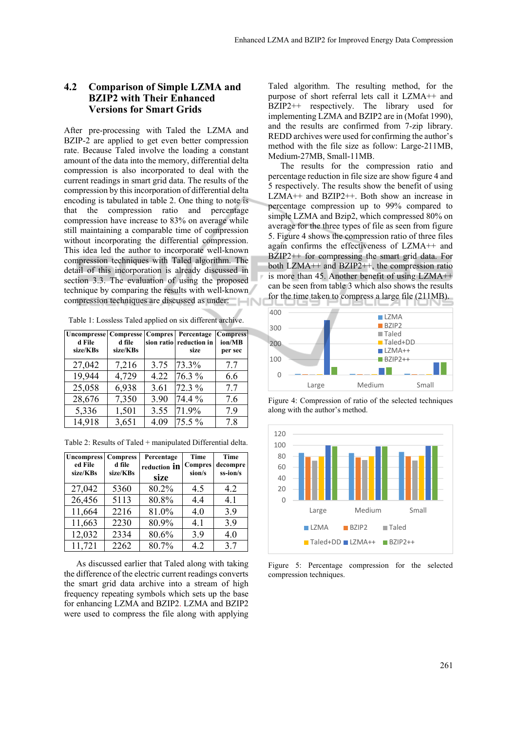#### **4.2 Comparison of Simple LZMA and BZIP2 with Their Enhanced Versions for Smart Grids**

After pre-processing with Taled the LZMA and BZIP-2 are applied to get even better compression rate. Because Taled involve the loading a constant amount of the data into the memory, differential delta compression is also incorporated to deal with the current readings in smart grid data. The results of the compression by this incorporation of differential delta encoding is tabulated in table 2. One thing to note is that the compression ratio and percentage compression have increase to 83% on average while still maintaining a comparable time of compression without incorporating the differential compression. This idea led the author to incorporate well-known compression techniques with Taled algorithm. The detail of this incorporation is already discussed in section 3.3. The evaluation of using the proposed technique by comparing the results with well-known compression techniques are discussed as under:

|  |  | Table 1: Lossless Taled applied on six different archive. |
|--|--|-----------------------------------------------------------|
|  |  |                                                           |

| <b>Uncompresse Compresse</b><br>d File<br>size/KBs | d file<br>size/KBs | <b>Compres</b> | Percentage<br>sion ratio reduction in<br>size | <b>Compress</b><br>ion/MB<br>per sec |
|----------------------------------------------------|--------------------|----------------|-----------------------------------------------|--------------------------------------|
| 27,042                                             | 7,216              | 3.75           | 73.3%                                         | 7.7                                  |
| 19,944                                             | 4,729              | 4.22           | 76.3 %                                        | 6.6                                  |
| 25,058                                             | 6,938              | 3.61           | 72.3 %                                        | 7.7                                  |
| 28,676                                             | 7,350              | 3.90           | 74.4 %                                        | 7.6                                  |
| 5,336                                              | 1,501              | 3.55           | 71.9%                                         | 7.9                                  |
| 14,918                                             | 3,651              | 4.09           | 75.5 %                                        | 78                                   |

Table 2: Results of Taled + manipulated Differential delta.

| <b>Uncompress</b><br>ed File<br>size/KBs | <b>Compress</b><br>d file<br>size/KBs | Percentage<br>reduction in<br>size | Time<br><b>Compres</b><br>sion/s | Time<br>decompre<br>ss-ion/s |
|------------------------------------------|---------------------------------------|------------------------------------|----------------------------------|------------------------------|
| 27,042                                   | 5360                                  | 80.2%                              | 4.5                              | 4.2                          |
| 26,456                                   | 5113                                  | 80.8%                              | 4.4                              | 4.1                          |
| 11,664                                   | 2216                                  | 81.0%                              | 4.0                              | 3.9                          |
| 11,663                                   | 2230                                  | 80.9%                              | 4.1                              | 3.9                          |
| 12,032                                   | 2334                                  | 80.6%                              | 3.9                              | 4.0                          |
| 11,721                                   | 2262                                  | 80.7%                              | 4.2                              | 3.7                          |

As discussed earlier that Taled along with taking the difference of the electric current readings converts the smart grid data archive into a stream of high frequency repeating symbols which sets up the base for enhancing LZMA and BZIP2. LZMA and BZIP2 were used to compress the file along with applying Taled algorithm. The resulting method, for the purpose of short referral lets call it LZMA++ and BZIP2++ respectively. The library used for implementing LZMA and BZIP2 are in (Mofat 1990), and the results are confirmed from 7-zip library. REDD archives were used for confirming the author's method with the file size as follow: Large-211MB, Medium-27MB, Small-11MB.

The results for the compression ratio and percentage reduction in file size are show figure 4 and 5 respectively. The results show the benefit of using LZMA++ and BZIP2++. Both show an increase in percentage compression up to 99% compared to simple LZMA and Bzip2, which compressed 80% on average for the three types of file as seen from figure 5. Figure 4 shows the compression ratio of three files again confirms the effectiveness of LZMA++ and BZIP2++ for compressing the smart grid data. For both LZMA++ and BZIP2++, the compression ratio is more than 45. Another benefit of using LZMA++ can be seen from table 3 which also shows the results for the time taken to compress a large file (211MB).



Figure 4: Compression of ratio of the selected techniques along with the author's method.



Figure 5: Percentage compression for the selected compression techniques.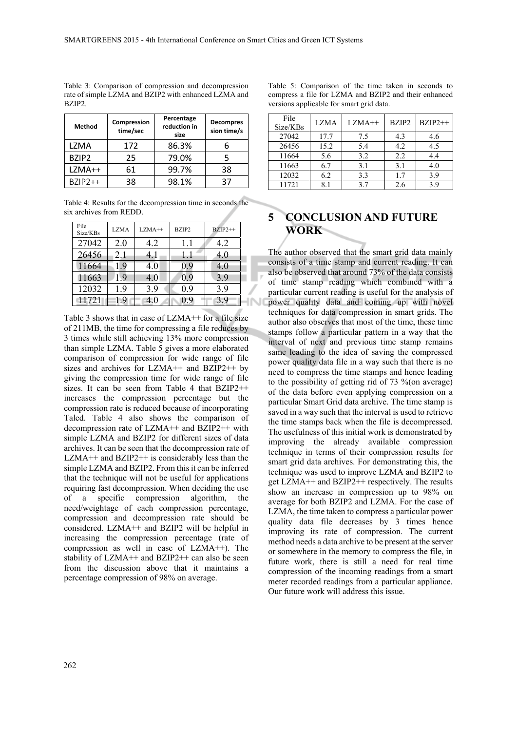| Method            | Compression<br>time/sec | Percentage<br>reduction in<br>size | <b>Decompres</b><br>sion time/s |
|-------------------|-------------------------|------------------------------------|---------------------------------|
| LZMA              | 172                     | 86.3%                              |                                 |
| BZIP <sub>2</sub> | 25                      | 79.0%                              |                                 |
| LZMA++            | 61                      | 99.7%                              | 38                              |
| $BZIP2++$         | 38                      | 98.1%                              | 37                              |

Table 3: Comparison of compression and decompression rate of simple LZMA and BZIP2 with enhanced LZMA and BZIP2.

Table 4: Results for the decompression time in seconds the six archives from REDD.

| File<br>Size/KBs | <b>LZMA</b> | $LZMA++$ | BZIP2 | $BZIP2++$ |   |
|------------------|-------------|----------|-------|-----------|---|
| 27042            | 2.0         | 4.2      | 1.1   | 4.2       |   |
| 26456            | 2.1         | 4. 1     | 1.1   | 4.0       |   |
| 11664            | 1.9         | 4.0      | 0.9   | 4.0       |   |
| 11663            | 1.9         | 4.0      | 0.9   | 3.9       | - |
| 12032            | 1.9         | 3.9      | 0.9   | 3.9       |   |
| 11721            | 1.9         | 4.0      | 0.9   | 3.9       |   |

Table 3 shows that in case of LZMA++ for a file size of 211MB, the time for compressing a file reduces by 3 times while still achieving 13% more compression than simple LZMA. Table 5 gives a more elaborated comparison of compression for wide range of file sizes and archives for LZMA++ and BZIP2++ by giving the compression time for wide range of file sizes. It can be seen from Table 4 that BZIP2++ increases the compression percentage but the compression rate is reduced because of incorporating Taled. Table 4 also shows the comparison of decompression rate of LZMA++ and BZIP2++ with simple LZMA and BZIP2 for different sizes of data archives. It can be seen that the decompression rate of  $LZMA++$  and  $BZIP2++$  is considerably less than the simple LZMA and BZIP2. From this it can be inferred that the technique will not be useful for applications requiring fast decompression. When deciding the use of a specific compression algorithm, the need/weightage of each compression percentage, compression and decompression rate should be considered. LZMA++ and BZIP2 will be helpful in increasing the compression percentage (rate of compression as well in case of LZMA++). The stability of  $LZMA++$  and  $BZIP2++$  can also be seen from the discussion above that it maintains a percentage compression of 98% on average.

Table 5: Comparison of the time taken in seconds to compress a file for LZMA and BZIP2 and their enhanced versions applicable for smart grid data.

| File<br>Size/KBs | <b>LZMA</b> | $LZMA++$ | BZIP2 | $BZIP2++$ |
|------------------|-------------|----------|-------|-----------|
| 27042            | 17.7        | 7.5      | 4.3   | 4.6       |
| 26456            | 15.2        | 5.4      | 4.2   | 4.5       |
| 11664            | 5.6         | 3.2      | 2.2   | 4.4       |
| 11663            | 6.7         | 3.1      | 3.1   | 4.0       |
| 12032            | 6.2         | 3.3      | 17    | 3.9       |
| 11721            | 81          | 37       | 2.6   | 39        |

# **5 CONCLUSION AND FUTURE WORK**

The author observed that the smart grid data mainly consists of a time stamp and current reading. It can also be observed that around 73% of the data consists of time stamp reading which combined with a particular current reading is useful for the analysis of power quality data and coming up with novel techniques for data compression in smart grids. The author also observes that most of the time, these time stamps follow a particular pattern in a way that the interval of next and previous time stamp remains same leading to the idea of saving the compressed power quality data file in a way such that there is no need to compress the time stamps and hence leading to the possibility of getting rid of 73 %(on average) of the data before even applying compression on a particular Smart Grid data archive. The time stamp is saved in a way such that the interval is used to retrieve the time stamps back when the file is decompressed. The usefulness of this initial work is demonstrated by improving the already available compression technique in terms of their compression results for smart grid data archives. For demonstrating this, the technique was used to improve LZMA and BZIP2 to get LZMA++ and BZIP2++ respectively. The results show an increase in compression up to 98% on average for both BZIP2 and LZMA. For the case of LZMA, the time taken to compress a particular power quality data file decreases by 3 times hence improving its rate of compression. The current method needs a data archive to be present at the server or somewhere in the memory to compress the file, in future work, there is still a need for real time compression of the incoming readings from a smart meter recorded readings from a particular appliance. Our future work will address this issue.